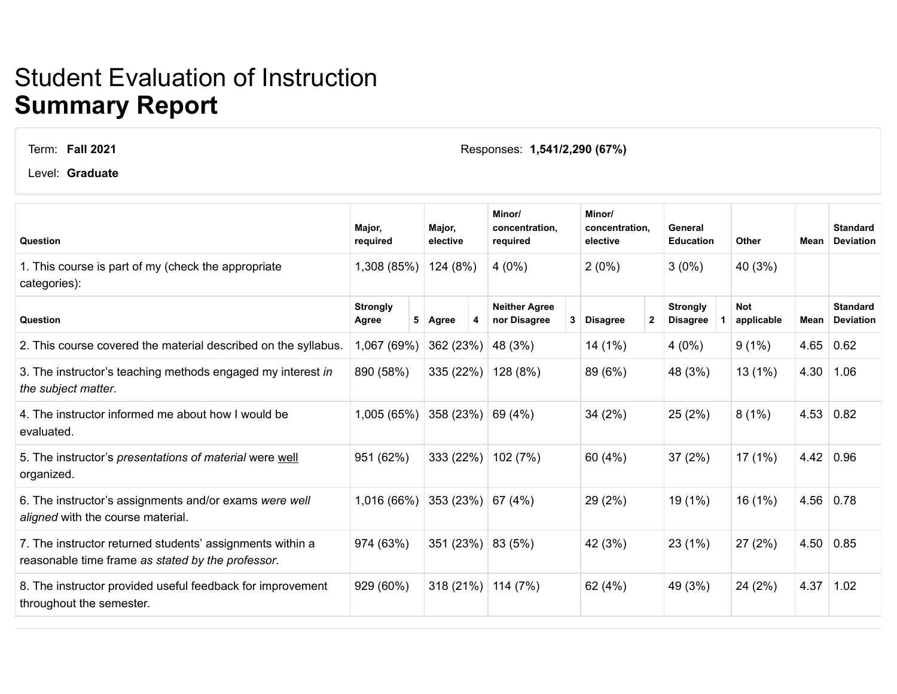## Student Evaluation of Instruction **Summary Report**

Term: **Fall 2021**

Level: **Graduate**

**Question Major, required Major, elective Minor/ concentration, required Minor/ concentration, elective General Education Other Mean Standard Deviation** 1. This course is part of my (check the appropriate categories):  $1,308(85%)$   $124(8%)$   $4(0%)$   $2(0%)$   $3(0%)$   $40(3%)$ **Question Strongly Agree 5 Agree 4 Neither Agree nor Disagree 3 Disagree 2 Strongly Disagree 1 Not applicable Mean Standard Deviation** 2. This course covered the material described on the syllabus. 1,067 (69%) 362 (23%) 48 (3%) 14 (1%) 4 (1%) 4 (0%) 9 (1%) 4.65 0.62 3. The instructor's teaching methods engaged my interest *in the subject matter*. 890 (58%) 335 (22%) 128 (8%) 89 (6%) 48 (3%) 13 (1%) 4.30 1.06 4. The instructor informed me about how I would be evaluated. 1,005 (65%) 358 (23%) 69 (4%) 34 (2%) 25 (2%) 8 (1%) 4.53 0.82 5. The instructor's *presentations of material* were well organized. 951 (62%) 333 (22%) 102 (7%) 60 (4%) 37 (2%) 17 (1%) 4.42 0.96 6. The instructor's assignments and/or exams *were well aligned* with the course material. 1,016 (66%) 353 (23%) 67 (4%) 29 (2%) 19 (1%) 16 (1%) 4.56 0.78 7. The instructor returned students' assignments within a reasonable time frame *as stated by the professor*. 974 (63%) 351 (23%) 83 (5%) 42 (3%) 23 (1%) 27 (2%) 4.50 0.85 8. The instructor provided useful feedback for improvement throughout the semester. 929 (60%) 318 (21%) 114 (7%) 62 (4%) 49 (3%) 24 (2%) 4.37 1.02

Responses: **1,541/2,290 (67%)**